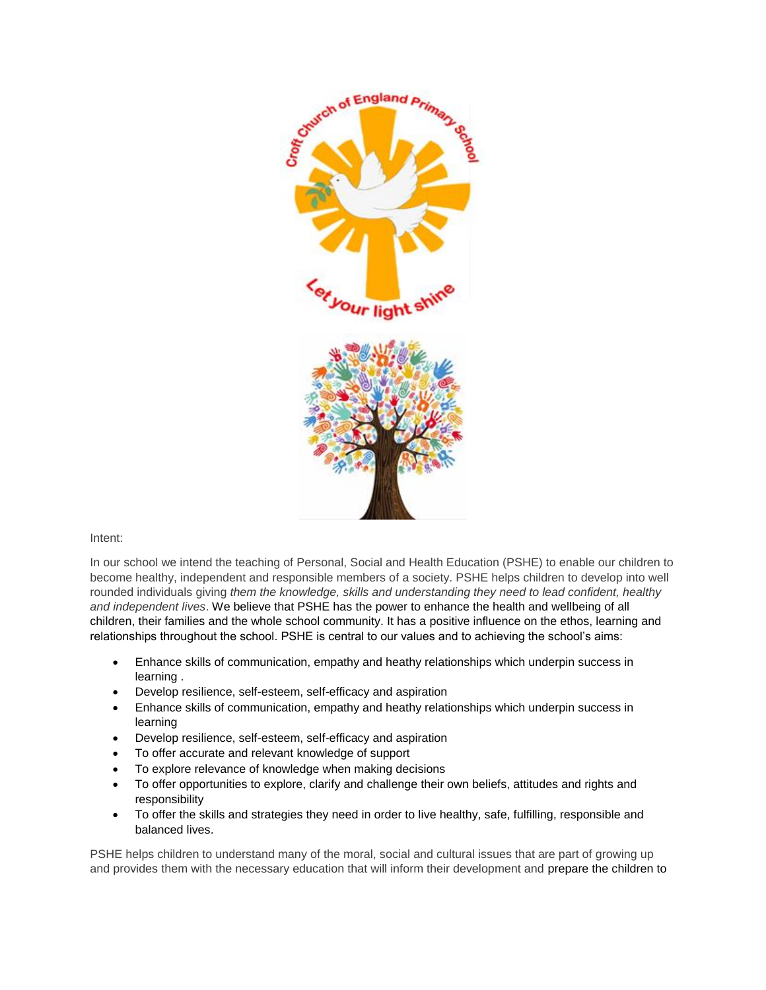

## Intent:

In our school we intend the teaching of Personal, Social and Health Education (PSHE) to enable our children to become healthy, independent and responsible members of a society. PSHE helps children to develop into well rounded individuals giving *them the knowledge, skills and understanding they need to lead confident, healthy and independent lives*. We believe that PSHE has the power to enhance the health and wellbeing of all children, their families and the whole school community. It has a positive influence on the ethos, learning and relationships throughout the school. PSHE is central to our values and to achieving the school's aims:

- Enhance skills of communication, empathy and heathy relationships which underpin success in learning .
- Develop resilience, self-esteem, self-efficacy and aspiration
- Enhance skills of communication, empathy and heathy relationships which underpin success in learning
- Develop resilience, self-esteem, self-efficacy and aspiration
- To offer accurate and relevant knowledge of support
- To explore relevance of knowledge when making decisions
- To offer opportunities to explore, clarify and challenge their own beliefs, attitudes and rights and responsibility
- To offer the skills and strategies they need in order to live healthy, safe, fulfilling, responsible and balanced lives.

PSHE helps children to understand many of the moral, social and cultural issues that are part of growing up and provides them with the necessary education that will inform their development and prepare the children to